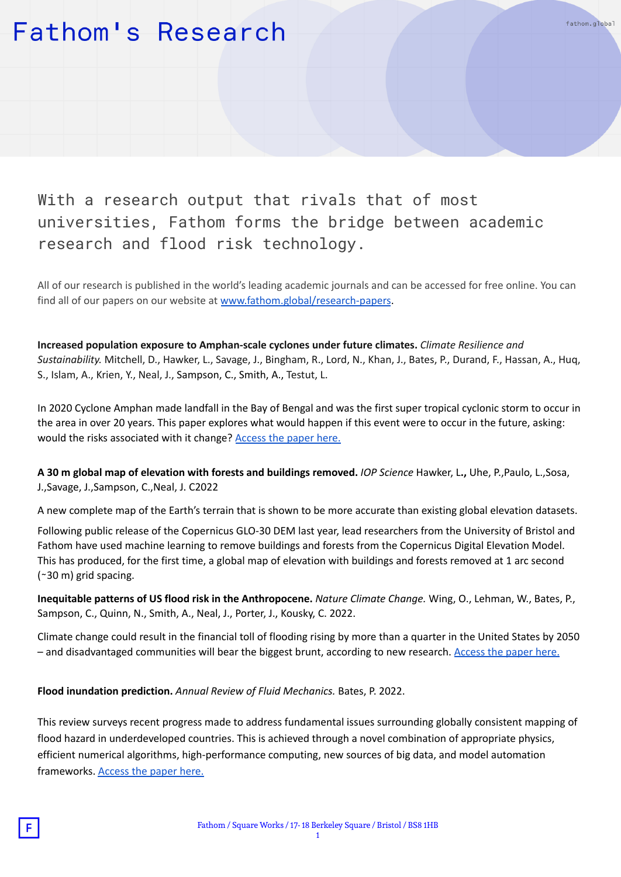#### With a research output that rivals that of most universities, Fathom forms the bridge between academic research and flood risk technology.

All of our research is published in the world's leading academic journals and can be accessed for free online. You can find all of our papers on our website at [www.fathom.global/research-papers](http://www.fathom.global/research-papers).

fathom.global

**Increased population exposure to Amphan-scale cyclones under future climates.** *Climate Resilience and Sustainability.* Mitchell, D., Hawker, L., Savage, J., Bingham, R., Lord, N., Khan, J., Bates, P., Durand, F., Hassan, A., Huq, S., Islam, A., Krien, Y., Neal, J., Sampson, C., Smith, A., Testut, L.

In 2020 Cyclone Amphan made landfall in the Bay of Bengal and was the first super tropical cyclonic storm to occur in the area in over 20 years. This paper explores what would happen if this event were to occur in the future, asking: would the risks associated with it change? [Access](https://rmets.onlinelibrary.wiley.com/doi/10.1002/cli2.36) the paper here.

**A 30 m global map of elevation with forests and buildings removed.** *IOP Science* Hawker, L**.,** Uhe, P.,Paulo, L.,Sosa, J.,Savage, J.,Sampson, C.,Neal, J. C2022

A new complete map of the Earth's terrain that is shown to be more accurate than existing global elevation datasets.

Following public release of the Copernicus GLO-30 DEM last year, lead researchers from the University of Bristol and Fathom have used machine learning to remove buildings and forests from the Copernicus Digital Elevation Model. This has produced, for the first time, a global map of elevation with buildings and forests removed at 1 arc second (∼30 m) grid spacing.

**Inequitable patterns of US flood risk in the Anthropocene.** *Nature Climate Change.* Wing, O., Lehman, W., Bates, P., Sampson, C., Quinn, N., Smith, A., Neal, J., Porter, J., Kousky, C. 2022.

Climate change could result in the financial toll of flooding rising by more than a quarter in the United States by 2050 – and disadvantaged communities will bear the biggest brunt, according to new research. [Access](https://www.nature.com/articles/s41558-021-01265-6) the paper here.

**Flood inundation prediction.** *Annual Review of Fluid Mechanics.* Bates, P. 2022.

This review surveys recent progress made to address fundamental issues surrounding globally consistent mapping of flood hazard in underdeveloped countries. This is achieved through a novel combination of appropriate physics, efficient numerical algorithms, high-performance computing, new sources of big data, and model automation frameworks. [Access](https://www.annualreviews.org/doi/10.1146/annurev-fluid-030121-113138) the paper here.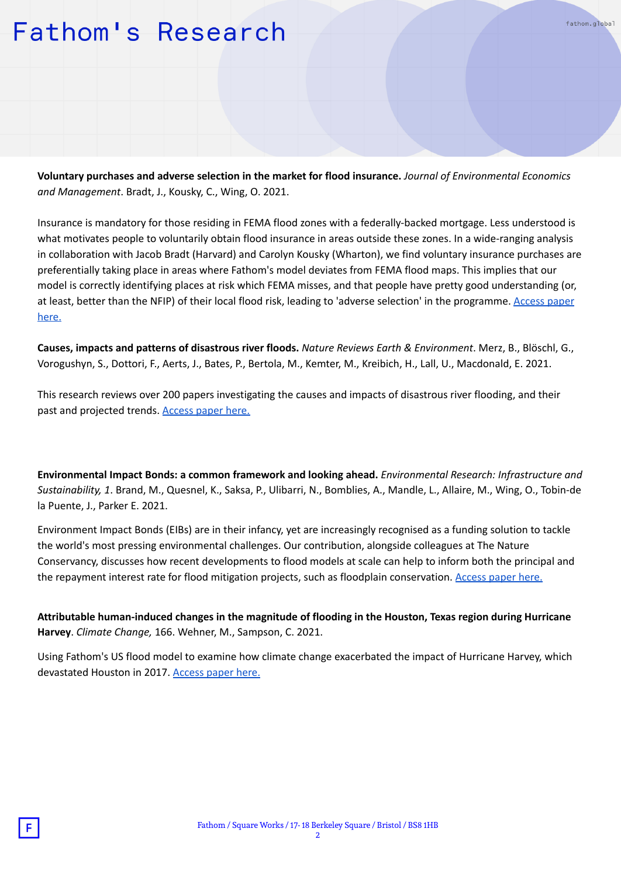fathom.global

**Voluntary purchases and adverse selection in the market for flood insurance.** *Journal of Environmental Economics and Management*. Bradt, J., Kousky, C., Wing, O. 2021.

Insurance is mandatory for those residing in FEMA flood zones with a federally-backed mortgage. Less understood is what motivates people to voluntarily obtain flood insurance in areas outside these zones. In a wide-ranging analysis in collaboration with Jacob Bradt (Harvard) and Carolyn Kousky (Wharton), we find voluntary insurance purchases are preferentially taking place in areas where Fathom's model deviates from FEMA flood maps. This implies that our model is correctly identifying places at risk which FEMA misses, and that people have pretty good understanding (or, at least, better than the NFIP) of their local flood risk, leading to 'adverse selection' in the programme. [Access](https://www.sciencedirect.com/science/article/abs/pii/S0095069621000826) paper [here.](https://www.sciencedirect.com/science/article/abs/pii/S0095069621000826)

**Causes, impacts and patterns of disastrous river floods.** *Nature Reviews Earth & Environment*. Merz, B., Blöschl, G., Vorogushyn, S., Dottori, F., Aerts, J., Bates, P., Bertola, M., Kemter, M., Kreibich, H., Lall, U., Macdonald, E. 2021.

This research reviews over 200 papers investigating the causes and impacts of disastrous river flooding, and their past and projected trends. [Access](https://www.nature.com/articles/s43017-021-00195-3) paper here.

**Environmental Impact Bonds: a common framework and looking ahead.** *Environmental Research: Infrastructure and Sustainability, 1*. Brand, M., Quesnel, K., Saksa, P., Ulibarri, N., Bomblies, A., Mandle, L., Allaire, M., Wing, O., Tobin-de la Puente, J., Parker E. 2021.

Environment Impact Bonds (EIBs) are in their infancy, yet are increasingly recognised as a funding solution to tackle the world's most pressing environmental challenges. Our contribution, alongside colleagues at The Nature Conservancy, discusses how recent developments to flood models at scale can help to inform both the principal and the repayment interest rate for flood mitigation projects, such as floodplain conservation. [Access](https://iopscience.iop.org/article/10.1088/2634-4505/ac0b2c) paper here.

**Attributable human-induced changes in the magnitude of flooding in the Houston, Texas region during Hurricane Harvey**. *Climate Change,* 166. Wehner, M., Sampson, C. 2021.

Using Fathom's US flood model to examine how climate change exacerbated the impact of Hurricane Harvey, which devastated Houston in 2017. [Access](https://link.springer.com/article/10.1007/s10584-021-03114-z#citeas) paper here.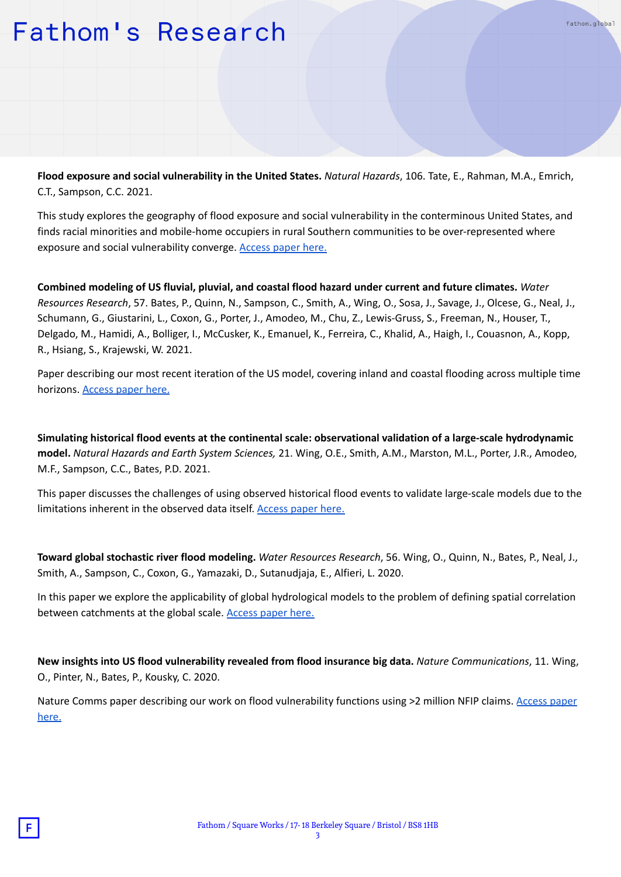**Flood exposure and social vulnerability in the United States.** *Natural Hazards*, 106. Tate, E., Rahman, M.A., Emrich, C.T., Sampson, C.C. 2021.

fathom.global

This study explores the geography of flood exposure and social vulnerability in the conterminous United States, and finds racial minorities and mobile-home occupiers in rural Southern communities to be over-represented where exposure and social vulnerability converge. [Access](https://link.springer.com/article/10.1007%2Fs11069-020-04470-2) paper here.

**Combined modeling of US fluvial, pluvial, and coastal flood hazard under current and future climates.** *Water Resources Research*, 57. Bates, P., Quinn, N., Sampson, C., Smith, A., Wing, O., Sosa, J., Savage, J., Olcese, G., Neal, J., Schumann, G., Giustarini, L., Coxon, G., Porter, J., Amodeo, M., Chu, Z., Lewis-Gruss, S., Freeman, N., Houser, T., Delgado, M., Hamidi, A., Bolliger, I., McCusker, K., Emanuel, K., Ferreira, C., Khalid, A., Haigh, I., Couasnon, A., Kopp, R., Hsiang, S., Krajewski, W. 2021.

Paper describing our most recent iteration of the US model, covering inland and coastal flooding across multiple time horizons. [Access](https://agupubs.onlinelibrary.wiley.com/doi/10.1029/2020WR028673) paper here.

**Simulating historical flood events at the continental scale: observational validation of a large-scale hydrodynamic model.** *Natural Hazards and Earth System Sciences,* 21. Wing, O.E., Smith, A.M., Marston, M.L., Porter, J.R., Amodeo, M.F., Sampson, C.C., Bates, P.D. 2021.

This paper discusses the challenges of using observed historical flood events to validate large-scale models due to the limitations inherent in the observed data itself. [Access](https://nhess.copernicus.org/articles/21/559/2021/) paper here.

**Toward global stochastic river flood modeling.** *Water Resources Research*, 56. Wing, O., Quinn, N., Bates, P., Neal, J., Smith, A., Sampson, C., Coxon, G., Yamazaki, D., Sutanudjaja, E., Alfieri, L. 2020.

In this paper we explore the applicability of global hydrological models to the problem of defining spatial correlation between catchments at the global scale. [Access](https://agupubs.onlinelibrary.wiley.com/doi/10.1029/2020WR027692) paper here.

**New insights into US flood vulnerability revealed from flood insurance big data.** *Nature Communications*, 11. Wing, O., Pinter, N., Bates, P., Kousky, C. 2020.

Nature Comms paper describing our work on flood vulnerability functions using >2 million NFIP claims. [Access](https://www.nature.com/articles/s41467-020-15264-2) paper [here.](https://www.nature.com/articles/s41467-020-15264-2)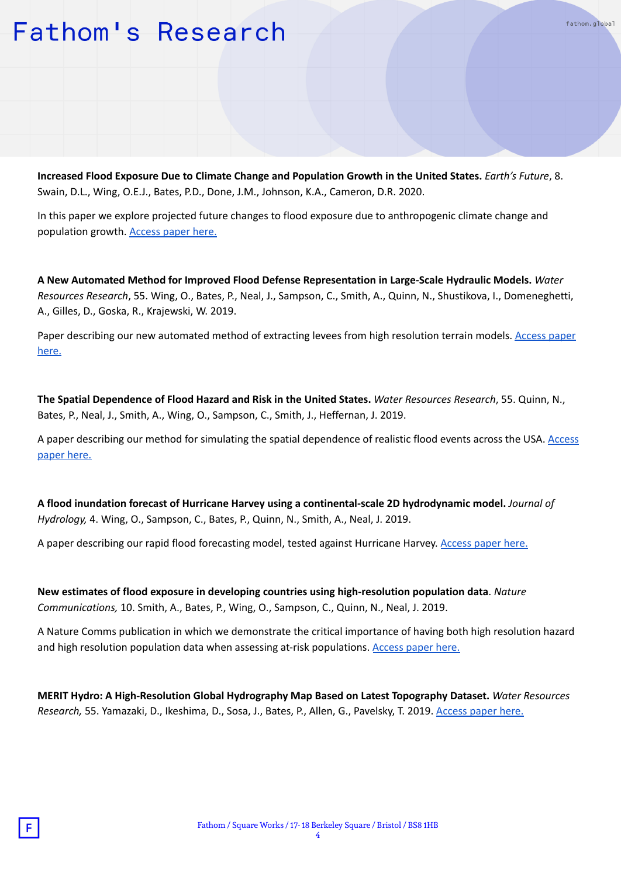**Increased Flood Exposure Due to Climate Change and Population Growth in the United States.** *Earth's Future*, 8. Swain, D.L., Wing, O.E.J., Bates, P.D., Done, J.M., Johnson, K.A., Cameron, D.R. 2020.

fathom.global

In this paper we explore projected future changes to flood exposure due to anthropogenic climate change and population growth. [Access](https://agupubs.onlinelibrary.wiley.com/doi/10.1029/2020EF001778) paper here.

**A New Automated Method for Improved Flood Defense Representation in Large-Scale Hydraulic Models.** *Water Resources Research*, 55. Wing, O., Bates, P., Neal, J., Sampson, C., Smith, A., Quinn, N., Shustikova, I., Domeneghetti, A., Gilles, D., Goska, R., Krajewski, W. 2019.

Paper describing our new automated method of extracting levees from high resolution terrain models. [Access](https://doi.org/10.1029/2019WR025957) paper [here.](https://doi.org/10.1029/2019WR025957)

**The Spatial Dependence of Flood Hazard and Risk in the United States.** *Water Resources Research*, 55. Quinn, N., Bates, P., Neal, J., Smith, A., Wing, O., Sampson, C., Smith, J., Heffernan, J. 2019.

A paper describing our method for simulating the spatial dependence of realistic flood events across the USA. [Access](https://agupubs.onlinelibrary.wiley.com/doi/full/10.1029/2018WR024205) [paper](https://agupubs.onlinelibrary.wiley.com/doi/full/10.1029/2018WR024205) here.

**A flood inundation forecast of Hurricane Harvey using a continental-scale 2D hydrodynamic model.** *Journal of Hydrology,* 4. Wing, O., Sampson, C., Bates, P., Quinn, N., Smith, A., Neal, J. 2019.

A paper describing our rapid flood forecasting model, tested against Hurricane Harvey. [Access](https://www.sciencedirect.com/science/article/pii/S2589915519300239) paper here.

**New estimates of flood exposure in developing countries using high-resolution population data**. *Nature Communications,* 10. Smith, A., Bates, P., Wing, O., Sampson, C., Quinn, N., Neal, J. 2019.

A Nature Comms publication in which we demonstrate the critical importance of having both high resolution hazard and high resolution population data when assessing at-risk populations. [Access](https://www.nature.com/articles/s41467-019-09282-y) paper here.

**MERIT Hydro: A High-Resolution Global Hydrography Map Based on Latest Topography Dataset.** *Water Resources Research,* 55. Yamazaki, D., Ikeshima, D., Sosa, J., Bates, P., Allen, G., Pavelsky, T. 2019. [Access](https://agupubs.onlinelibrary.wiley.com/doi/10.1029/2019WR024873) paper here.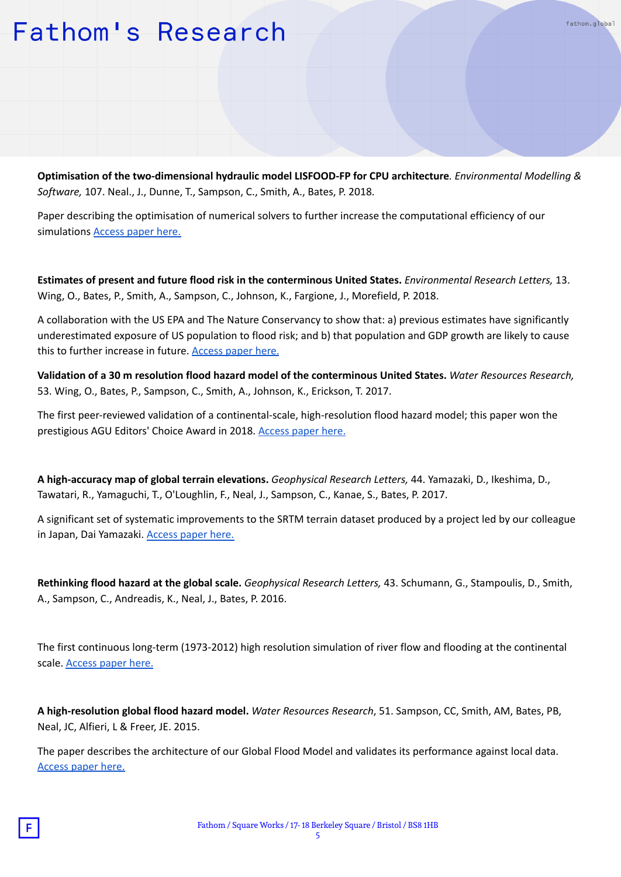**Optimisation of the two-dimensional hydraulic model LISFOOD-FP for CPU architecture***. Environmental Modelling & Software,* 107. Neal., J., Dunne, T., Sampson, C., Smith, A., Bates, P. 2018.

fathom.global

Paper describing the optimisation of numerical solvers to further increase the computational efficiency of our simulations [Access](https://linkinghub.elsevier.com/retrieve/pii/S1364815217307478) paper here.

**Estimates of present and future flood risk in the conterminous United States.** *Environmental Research Letters,* 13. Wing, O., Bates, P., Smith, A., Sampson, C., Johnson, K., Fargione, J., Morefield, P. 2018.

A collaboration with the US EPA and The Nature Conservancy to show that: a) previous estimates have significantly underestimated exposure of US population to flood risk; and b) that population and GDP growth are likely to cause this to further increase in future. [Access](https://iopscience.iop.org/article/10.1088/1748-9326/aaac65) paper here.

Validation of a 30 m resolution flood hazard model of the conterminous United States. Water Resources Research, 53. Wing, O., Bates, P., Sampson, C., Smith, A., Johnson, K., Erickson, T. 2017.

The first peer-reviewed validation of a continental-scale, high-resolution flood hazard model; this paper won the prestigious AGU Editors' Choice Award in 2018. [Access](https://agupubs.onlinelibrary.wiley.com/doi/full/10.1002/2017WR020917) paper here.

**A high-accuracy map of global terrain elevations.** *Geophysical Research Letters,* 44. Yamazaki, D., Ikeshima, D., Tawatari, R., Yamaguchi, T., O'Loughlin, F., Neal, J., Sampson, C., Kanae, S., Bates, P. 2017.

A significant set of systematic improvements to the SRTM terrain dataset produced by a project led by our colleague in Japan, Dai Yamazaki. [Access](https://agupubs.onlinelibrary.wiley.com/doi/10.1002/2017GL072874) paper here.

**Rethinking flood hazard at the global scale.** *Geophysical Research Letters,* 43. Schumann, G., Stampoulis, D., Smith, A., Sampson, C., Andreadis, K., Neal, J., Bates, P. 2016.

The first continuous long-term (1973-2012) high resolution simulation of river flow and flooding at the continental scale. [Access](https://agupubs.onlinelibrary.wiley.com/doi/full/10.1002/2016GL070260) paper here.

**A high-resolution global flood hazard model.** *Water Resources Research*, 51. Sampson, CC, Smith, AM, Bates, PB, Neal, JC, Alfieri, L & Freer, JE. 2015.

The paper describes the architecture of our Global Flood Model and validates its performance against local data. [Access](https://agupubs.onlinelibrary.wiley.com/doi/full/10.1002/2015WR016954) paper here.